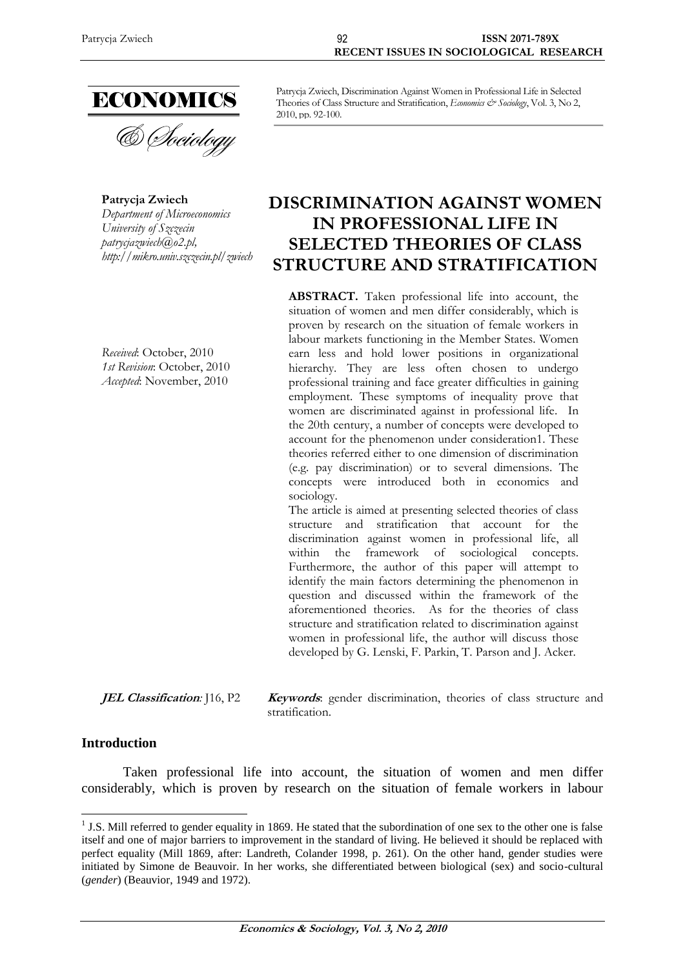

**Patrycja Zwiech** *Department of Microeconomics University of Szczecin patrycjazwiech@o2.pl, http://mikro.univ.szczecin.pl/zwiech*

*Received*: October, 2010 *1st Revision*: October, 2010 *Accepted*: November, 2010

Patrycja Zwiech, Discrimination Against Women in Professional Life in Selected Theories of Class Structure and Stratification, *Economics & Sociology*, Vol. 3, No 2, 2010, pp. 92-100.

# **DISCRIMINATION AGAINST WOMEN IN PROFESSIONAL LIFE IN SELECTED THEORIES OF CLASS STRUCTURE AND STRATIFICATION**

**ABSTRACT.** Taken professional life into account, the situation of women and men differ considerably, which is proven by research on the situation of female workers in labour markets functioning in the Member States. Women earn less and hold lower positions in organizational hierarchy. They are less often chosen to undergo professional training and face greater difficulties in gaining employment. These symptoms of inequality prove that women are discriminated against in professional life. In the 20th century, a number of concepts were developed to account for the phenomenon under consideration1. These theories referred either to one dimension of discrimination (e.g. pay discrimination) or to several dimensions. The concepts were introduced both in economics and sociology.

The article is aimed at presenting selected theories of class structure and stratification that account for the discrimination against women in professional life, all within the framework of sociological concepts. Furthermore, the author of this paper will attempt to identify the main factors determining the phenomenon in question and discussed within the framework of the aforementioned theories. As for the theories of class structure and stratification related to discrimination against women in professional life, the author will discuss those developed by G. Lenski, F. Parkin, T. Parson and J. Acker.

**JEL Classification**: [16, P2 **Keywords**: gender discrimination, theories of class structure and stratification.

### **Introduction**

Taken professional life into account, the situation of women and men differ considerably, which is proven by research on the situation of female workers in labour

 $<sup>1</sup>$  J.S. Mill referred to gender equality in 1869. He stated that the subordination of one sex to the other one is false</sup> itself and one of major barriers to improvement in the standard of living. He believed it should be replaced with perfect equality (Mill 1869, after: Landreth, Colander 1998, p. 261). On the other hand, gender studies were initiated by Simone de Beauvoir. In her works, she differentiated between biological (sex) and socio-cultural (*gender*) (Beauvior, 1949 and 1972).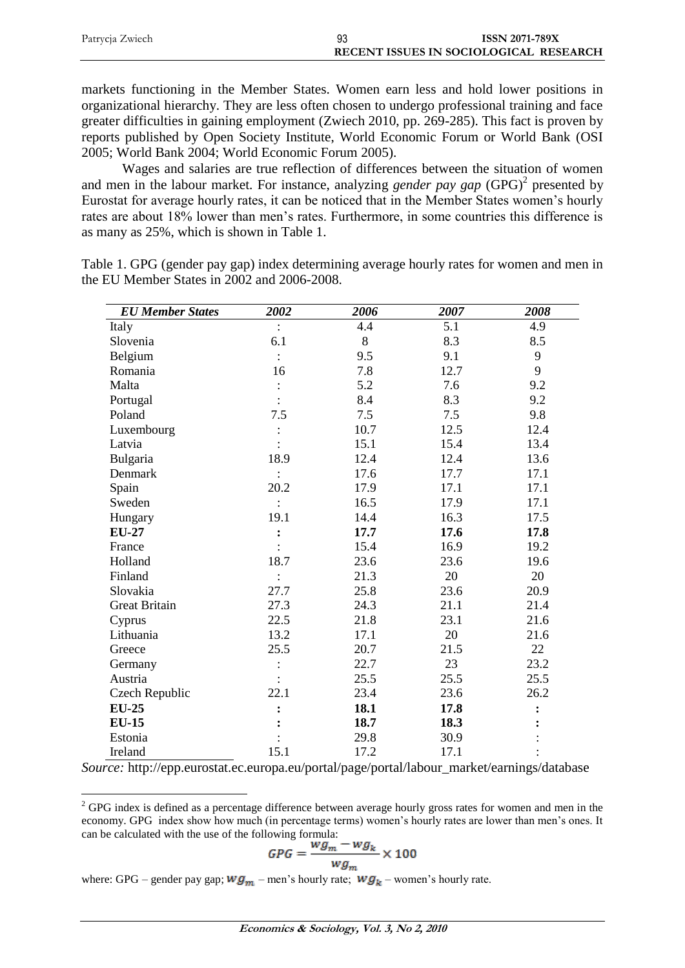| Patrycja Zwiech | 93                                     | <b>ISSN 2071-789X</b> |  |
|-----------------|----------------------------------------|-----------------------|--|
|                 | RECENT ISSUES IN SOCIOLOGICAL RESEARCH |                       |  |

markets functioning in the Member States. Women earn less and hold lower positions in organizational hierarchy. They are less often chosen to undergo professional training and face greater difficulties in gaining employment (Zwiech 2010, pp. 269-285). This fact is proven by reports published by Open Society Institute, World Economic Forum or World Bank (OSI 2005; World Bank 2004; World Economic Forum 2005).

Wages and salaries are true reflection of differences between the situation of women and men in the labour market. For instance, analyzing *gender pay gap* (GPG) 2 presented by Eurostat for average hourly rates, it can be noticed that in the Member States women's hourly rates are about 18% lower than men's rates. Furthermore, in some countries this difference is as many as 25%, which is shown in Table 1.

Table 1. GPG (gender pay gap) index determining average hourly rates for women and men in the EU Member States in 2002 and 2006-2008.

| <b>EU</b> Member States | 2002           | 2006 | 2007 | 2008 |
|-------------------------|----------------|------|------|------|
| Italy                   |                | 4.4  | 5.1  | 4.9  |
| Slovenia                | 6.1            | 8    | 8.3  | 8.5  |
| Belgium                 | $\ddot{\cdot}$ | 9.5  | 9.1  | 9    |
| Romania                 | 16             | 7.8  | 12.7 | 9    |
| Malta                   |                | 5.2  | 7.6  | 9.2  |
| Portugal                |                | 8.4  | 8.3  | 9.2  |
| Poland                  | 7.5            | 7.5  | 7.5  | 9.8  |
| Luxembourg              |                | 10.7 | 12.5 | 12.4 |
| Latvia                  |                | 15.1 | 15.4 | 13.4 |
| Bulgaria                | 18.9           | 12.4 | 12.4 | 13.6 |
| Denmark                 |                | 17.6 | 17.7 | 17.1 |
| Spain                   | 20.2           | 17.9 | 17.1 | 17.1 |
| Sweden                  | $\cdot$        | 16.5 | 17.9 | 17.1 |
| Hungary                 | 19.1           | 14.4 | 16.3 | 17.5 |
| <b>EU-27</b>            | $\ddot{\cdot}$ | 17.7 | 17.6 | 17.8 |
| France                  |                | 15.4 | 16.9 | 19.2 |
| Holland                 | 18.7           | 23.6 | 23.6 | 19.6 |
| Finland                 |                | 21.3 | 20   | 20   |
| Slovakia                | 27.7           | 25.8 | 23.6 | 20.9 |
| <b>Great Britain</b>    | 27.3           | 24.3 | 21.1 | 21.4 |
| Cyprus                  | 22.5           | 21.8 | 23.1 | 21.6 |
| Lithuania               | 13.2           | 17.1 | 20   | 21.6 |
| Greece                  | 25.5           | 20.7 | 21.5 | 22   |
| Germany                 |                | 22.7 | 23   | 23.2 |
| Austria                 |                | 25.5 | 25.5 | 25.5 |
| Czech Republic          | 22.1           | 23.4 | 23.6 | 26.2 |
| $EU-25$                 |                | 18.1 | 17.8 |      |
| <b>EU-15</b>            |                | 18.7 | 18.3 |      |
| Estonia                 |                | 29.8 | 30.9 |      |
| Ireland                 | 15.1           | 17.2 | 17.1 |      |

*Source:* http://epp.eurostat.ec.europa.eu/portal/page/portal/labour\_market/earnings/database

 $2^{2}$  GPG index is defined as a percentage difference between average hourly gross rates for women and men in the economy. GPG index show how much (in percentage terms) women's hourly rates are lower than men's ones. It can be calculated with the use of the following formula:

$$
GPG = \frac{wg_m - wg_k}{wg_m} \times 100
$$

where: GPG – gender pay gap;  $wg_m$  – men's hourly rate;  $wg_k$  – women's hourly rate.

 $\overline{a}$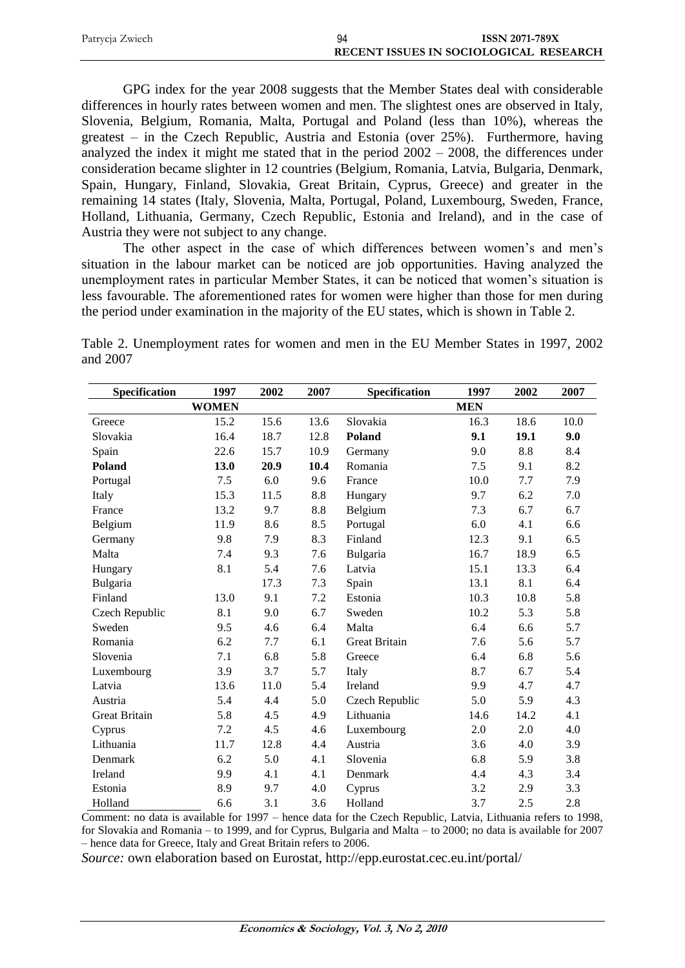| Patrycja Zwiech | 94 | <b>ISSN 2071-789X</b>                  |
|-----------------|----|----------------------------------------|
|                 |    | RECENT ISSUES IN SOCIOLOGICAL RESEARCH |

GPG index for the year 2008 suggests that the Member States deal with considerable differences in hourly rates between women and men. The slightest ones are observed in Italy, Slovenia, Belgium, Romania, Malta, Portugal and Poland (less than 10%), whereas the greatest – in the Czech Republic, Austria and Estonia (over 25%). Furthermore, having analyzed the index it might me stated that in the period 2002 – 2008, the differences under consideration became slighter in 12 countries (Belgium, Romania, Latvia, Bulgaria, Denmark, Spain, Hungary, Finland, Slovakia, Great Britain, Cyprus, Greece) and greater in the remaining 14 states (Italy, Slovenia, Malta, Portugal, Poland, Luxembourg, Sweden, France, Holland, Lithuania, Germany, Czech Republic, Estonia and Ireland), and in the case of Austria they were not subject to any change.

The other aspect in the case of which differences between women's and men's situation in the labour market can be noticed are job opportunities. Having analyzed the unemployment rates in particular Member States, it can be noticed that women's situation is less favourable. The aforementioned rates for women were higher than those for men during the period under examination in the majority of the EU states, which is shown in Table 2.

|          | Table 2. Unemployment rates for women and men in the EU Member States in 1997, 2002 |  |  |  |  |  |
|----------|-------------------------------------------------------------------------------------|--|--|--|--|--|
| and 2007 |                                                                                     |  |  |  |  |  |

| Specification        | 1997         | 2002 | 2007 | Specification        | 1997       | 2002 | 2007 |
|----------------------|--------------|------|------|----------------------|------------|------|------|
|                      | <b>WOMEN</b> |      |      |                      | <b>MEN</b> |      |      |
| Greece               | 15.2         | 15.6 | 13.6 | Slovakia             | 16.3       | 18.6 | 10.0 |
| Slovakia             | 16.4         | 18.7 | 12.8 | <b>Poland</b>        | 9.1        | 19.1 | 9.0  |
| Spain                | 22.6         | 15.7 | 10.9 | Germany              | 9.0        | 8.8  | 8.4  |
| Poland               | 13.0         | 20.9 | 10.4 | Romania              | 7.5        | 9.1  | 8.2  |
| Portugal             | 7.5          | 6.0  | 9.6  | France               | 10.0       | 7.7  | 7.9  |
| Italy                | 15.3         | 11.5 | 8.8  | Hungary              | 9.7        | 6.2  | 7.0  |
| France               | 13.2         | 9.7  | 8.8  | Belgium              | 7.3        | 6.7  | 6.7  |
| Belgium              | 11.9         | 8.6  | 8.5  | Portugal             | 6.0        | 4.1  | 6.6  |
| Germany              | 9.8          | 7.9  | 8.3  | Finland              | 12.3       | 9.1  | 6.5  |
| Malta                | 7.4          | 9.3  | 7.6  | Bulgaria             | 16.7       | 18.9 | 6.5  |
| Hungary              | 8.1          | 5.4  | 7.6  | Latvia               | 15.1       | 13.3 | 6.4  |
| Bulgaria             |              | 17.3 | 7.3  | Spain                | 13.1       | 8.1  | 6.4  |
| Finland              | 13.0         | 9.1  | 7.2  | Estonia              | 10.3       | 10.8 | 5.8  |
| Czech Republic       | 8.1          | 9.0  | 6.7  | Sweden               | 10.2       | 5.3  | 5.8  |
| Sweden               | 9.5          | 4.6  | 6.4  | Malta                | 6.4        | 6.6  | 5.7  |
| Romania              | 6.2          | 7.7  | 6.1  | <b>Great Britain</b> | 7.6        | 5.6  | 5.7  |
| Slovenia             | 7.1          | 6.8  | 5.8  | Greece               | 6.4        | 6.8  | 5.6  |
| Luxembourg           | 3.9          | 3.7  | 5.7  | Italy                | 8.7        | 6.7  | 5.4  |
| Latvia               | 13.6         | 11.0 | 5.4  | Ireland              | 9.9        | 4.7  | 4.7  |
| Austria              | 5.4          | 4.4  | 5.0  | Czech Republic       | 5.0        | 5.9  | 4.3  |
| <b>Great Britain</b> | 5.8          | 4.5  | 4.9  | Lithuania            | 14.6       | 14.2 | 4.1  |
| Cyprus               | 7.2          | 4.5  | 4.6  | Luxembourg           | 2.0        | 2.0  | 4.0  |
| Lithuania            | 11.7         | 12.8 | 4.4  | Austria              | 3.6        | 4.0  | 3.9  |
| Denmark              | 6.2          | 5.0  | 4.1  | Slovenia             | 6.8        | 5.9  | 3.8  |
| Ireland              | 9.9          | 4.1  | 4.1  | Denmark              | 4.4        | 4.3  | 3.4  |
| Estonia              | 8.9          | 9.7  | 4.0  | Cyprus               | 3.2        | 2.9  | 3.3  |
| Holland              | 6.6          | 3.1  | 3.6  | Holland              | 3.7        | 2.5  | 2.8  |

Comment: no data is available for 1997 – hence data for the Czech Republic, Latvia, Lithuania refers to 1998, for Slovakia and Romania – to 1999, and for Cyprus, Bulgaria and Malta – to 2000; no data is available for 2007 – hence data for Greece, Italy and Great Britain refers to 2006.

*Source:* own elaboration based on Eurostat, http://epp.eurostat.cec.eu.int/portal/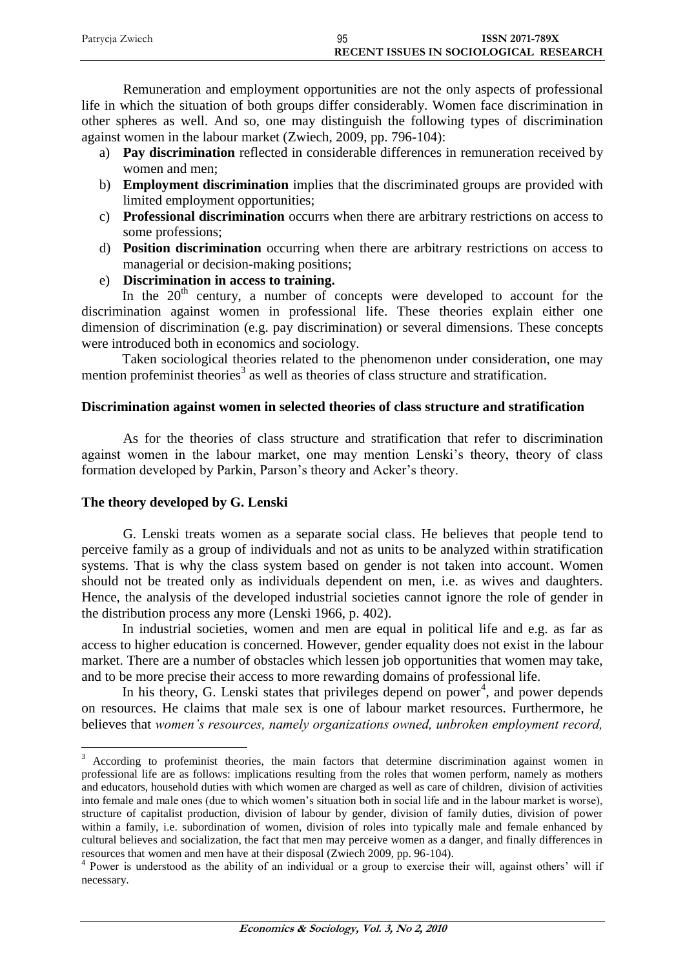| Patrycja Zwiech | 95 | <b>ISSN 2071-789X</b>                  |
|-----------------|----|----------------------------------------|
|                 |    | RECENT ISSUES IN SOCIOLOGICAL RESEARCH |

Remuneration and employment opportunities are not the only aspects of professional life in which the situation of both groups differ considerably. Women face discrimination in other spheres as well. And so, one may distinguish the following types of discrimination against women in the labour market (Zwiech, 2009, pp. 796-104):

- a) **Pay discrimination** reflected in considerable differences in remuneration received by women and men;
- b) **Employment discrimination** implies that the discriminated groups are provided with limited employment opportunities;
- c) **Professional discrimination** occurrs when there are arbitrary restrictions on access to some professions;
- d) **Position discrimination** occurring when there are arbitrary restrictions on access to managerial or decision-making positions;
- e) **Discrimination in access to training.**

In the  $20<sup>th</sup>$  century, a number of concepts were developed to account for the discrimination against women in professional life. These theories explain either one dimension of discrimination (e.g. pay discrimination) or several dimensions. These concepts were introduced both in economics and sociology.

Taken sociological theories related to the phenomenon under consideration, one may mention profeminist theories<sup>3</sup> as well as theories of class structure and stratification.

# **Discrimination against women in selected theories of class structure and stratification**

As for the theories of class structure and stratification that refer to discrimination against women in the labour market, one may mention Lenski's theory, theory of class formation developed by Parkin, Parson's theory and Acker's theory.

### **The theory developed by G. Lenski**

 $\overline{a}$ 

G. Lenski treats women as a separate social class. He believes that people tend to perceive family as a group of individuals and not as units to be analyzed within stratification systems. That is why the class system based on gender is not taken into account. Women should not be treated only as individuals dependent on men, i.e. as wives and daughters. Hence, the analysis of the developed industrial societies cannot ignore the role of gender in the distribution process any more (Lenski 1966, p. 402).

In industrial societies, women and men are equal in political life and e.g. as far as access to higher education is concerned. However, gender equality does not exist in the labour market. There are a number of obstacles which lessen job opportunities that women may take, and to be more precise their access to more rewarding domains of professional life.

In his theory, G. Lenski states that privileges depend on power<sup>4</sup>, and power depends on resources. He claims that male sex is one of labour market resources. Furthermore, he believes that *women's resources, namely organizations owned, unbroken employment record,* 

<sup>&</sup>lt;sup>3</sup> According to profeminist theories, the main factors that determine discrimination against women in professional life are as follows: implications resulting from the roles that women perform, namely as mothers and educators, household duties with which women are charged as well as care of children, division of activities into female and male ones (due to which women's situation both in social life and in the labour market is worse), structure of capitalist production, division of labour by gender, division of family duties, division of power within a family, i.e. subordination of women, division of roles into typically male and female enhanced by cultural believes and socialization, the fact that men may perceive women as a danger, and finally differences in resources that women and men have at their disposal (Zwiech 2009, pp. 96-104).

<sup>&</sup>lt;sup>4</sup> Power is understood as the ability of an individual or a group to exercise their will, against others' will if necessary.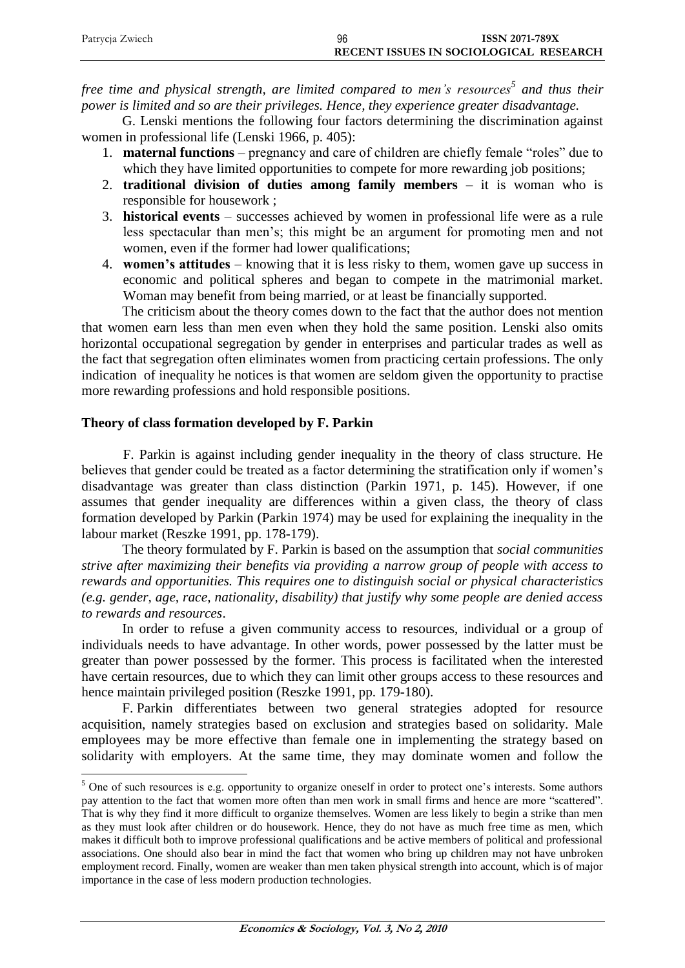| Patrycja Zwiech | 96                                     | <b>ISSN 2071-789X</b> |
|-----------------|----------------------------------------|-----------------------|
|                 | RECENT ISSUES IN SOCIOLOGICAL RESEARCH |                       |

*free time and physical strength, are limited compared to men's resources<sup>5</sup> and thus their power is limited and so are their privileges. Hence, they experience greater disadvantage.*

G. Lenski mentions the following four factors determining the discrimination against women in professional life (Lenski 1966, p. 405):

- 1. **maternal functions**  pregnancy and care of children are chiefly female "roles" due to which they have limited opportunities to compete for more rewarding job positions;
- 2. **traditional division of duties among family members**  it is woman who is responsible for housework ;
- 3. **historical events** successes achieved by women in professional life were as a rule less spectacular than men's; this might be an argument for promoting men and not women, even if the former had lower qualifications;
- 4. **women's attitudes**  knowing that it is less risky to them, women gave up success in economic and political spheres and began to compete in the matrimonial market. Woman may benefit from being married, or at least be financially supported.

The criticism about the theory comes down to the fact that the author does not mention that women earn less than men even when they hold the same position. Lenski also omits horizontal occupational segregation by gender in enterprises and particular trades as well as the fact that segregation often eliminates women from practicing certain professions. The only indication of inequality he notices is that women are seldom given the opportunity to practise more rewarding professions and hold responsible positions.

# **Theory of class formation developed by F. Parkin**

 $\overline{a}$ 

F. Parkin is against including gender inequality in the theory of class structure. He believes that gender could be treated as a factor determining the stratification only if women's disadvantage was greater than class distinction (Parkin 1971, p. 145). However, if one assumes that gender inequality are differences within a given class, the theory of class formation developed by Parkin (Parkin 1974) may be used for explaining the inequality in the labour market (Reszke 1991, pp. 178-179).

The theory formulated by F. Parkin is based on the assumption that *social communities strive after maximizing their benefits via providing a narrow group of people with access to rewards and opportunities. This requires one to distinguish social or physical characteristics (e.g. gender, age, race, nationality, disability) that justify why some people are denied access to rewards and resources*.

In order to refuse a given community access to resources, individual or a group of individuals needs to have advantage. In other words, power possessed by the latter must be greater than power possessed by the former. This process is facilitated when the interested have certain resources, due to which they can limit other groups access to these resources and hence maintain privileged position (Reszke 1991, pp. 179-180).

F. Parkin differentiates between two general strategies adopted for resource acquisition, namely strategies based on exclusion and strategies based on solidarity. Male employees may be more effective than female one in implementing the strategy based on solidarity with employers. At the same time, they may dominate women and follow the

<sup>&</sup>lt;sup>5</sup> One of such resources is e.g. opportunity to organize oneself in order to protect one's interests. Some authors pay attention to the fact that women more often than men work in small firms and hence are more "scattered". That is why they find it more difficult to organize themselves. Women are less likely to begin a strike than men as they must look after children or do housework. Hence, they do not have as much free time as men, which makes it difficult both to improve professional qualifications and be active members of political and professional associations. One should also bear in mind the fact that women who bring up children may not have unbroken employment record. Finally, women are weaker than men taken physical strength into account, which is of major importance in the case of less modern production technologies.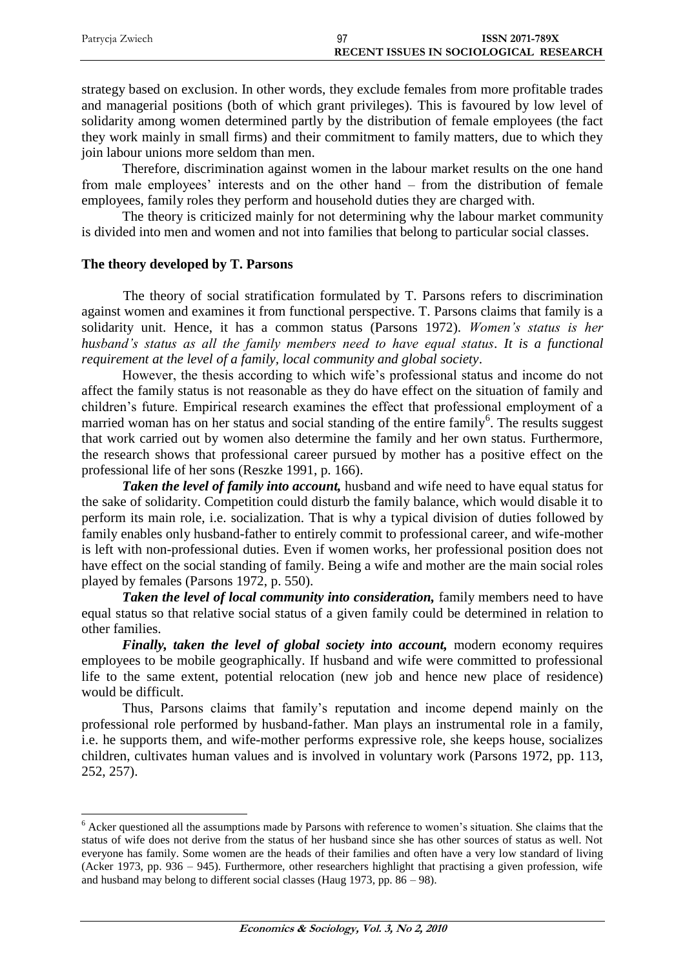| Patrycja Zwiech | <b>ISSN 2071-789X</b>                  |
|-----------------|----------------------------------------|
|                 | RECENT ISSUES IN SOCIOLOGICAL RESEARCH |

strategy based on exclusion. In other words, they exclude females from more profitable trades and managerial positions (both of which grant privileges). This is favoured by low level of solidarity among women determined partly by the distribution of female employees (the fact they work mainly in small firms) and their commitment to family matters, due to which they join labour unions more seldom than men.

Therefore, discrimination against women in the labour market results on the one hand from male employees' interests and on the other hand – from the distribution of female employees, family roles they perform and household duties they are charged with.

The theory is criticized mainly for not determining why the labour market community is divided into men and women and not into families that belong to particular social classes.

### **The theory developed by T. Parsons**

The theory of social stratification formulated by T. Parsons refers to discrimination against women and examines it from functional perspective. T. Parsons claims that family is a solidarity unit. Hence, it has a common status (Parsons 1972). *Women's status is her husband's status as all the family members need to have equal status. It is a functional requirement at the level of a family, local community and global society*.

However, the thesis according to which wife's professional status and income do not affect the family status is not reasonable as they do have effect on the situation of family and children's future. Empirical research examines the effect that professional employment of a married woman has on her status and social standing of the entire family<sup>6</sup>. The results suggest that work carried out by women also determine the family and her own status. Furthermore, the research shows that professional career pursued by mother has a positive effect on the professional life of her sons (Reszke 1991, p. 166).

*Taken the level of family into account,* husband and wife need to have equal status for the sake of solidarity. Competition could disturb the family balance, which would disable it to perform its main role, i.e. socialization. That is why a typical division of duties followed by family enables only husband-father to entirely commit to professional career, and wife-mother is left with non-professional duties. Even if women works, her professional position does not have effect on the social standing of family. Being a wife and mother are the main social roles played by females (Parsons 1972, p. 550).

Taken the level of local community into consideration, family members need to have equal status so that relative social status of a given family could be determined in relation to other families.

*Finally, taken the level of global society into account,* modern economy requires employees to be mobile geographically. If husband and wife were committed to professional life to the same extent, potential relocation (new job and hence new place of residence) would be difficult.

Thus, Parsons claims that family's reputation and income depend mainly on the professional role performed by husband-father. Man plays an instrumental role in a family, i.e. he supports them, and wife-mother performs expressive role, she keeps house, socializes children, cultivates human values and is involved in voluntary work (Parsons 1972, pp. 113, 252, 257).

<sup>&</sup>lt;sup>6</sup> Acker questioned all the assumptions made by Parsons with reference to women's situation. She claims that the status of wife does not derive from the status of her husband since she has other sources of status as well. Not everyone has family. Some women are the heads of their families and often have a very low standard of living (Acker 1973, pp. 936 – 945). Furthermore, other researchers highlight that practising a given profession, wife and husband may belong to different social classes (Haug 1973, pp. 86 – 98).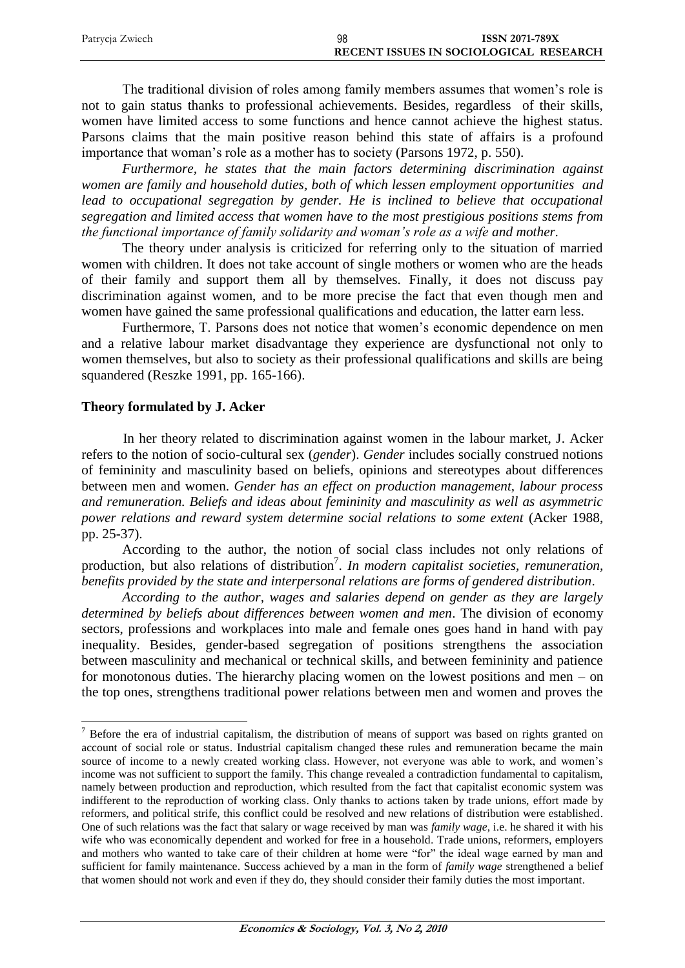| Patrycja Zwiech | 98 | <b>ISSN 2071-789X</b>                  |
|-----------------|----|----------------------------------------|
|                 |    | RECENT ISSUES IN SOCIOLOGICAL RESEARCH |

The traditional division of roles among family members assumes that women's role is not to gain status thanks to professional achievements. Besides, regardless of their skills, women have limited access to some functions and hence cannot achieve the highest status. Parsons claims that the main positive reason behind this state of affairs is a profound importance that woman's role as a mother has to society (Parsons 1972, p. 550).

*Furthermore, he states that the main factors determining discrimination against women are family and household duties, both of which lessen employment opportunities and*  lead to occupational segregation by gender. He is inclined to believe that occupational *segregation and limited access that women have to the most prestigious positions stems from the functional importance of family solidarity and woman's role as a wife and mother.*

The theory under analysis is criticized for referring only to the situation of married women with children. It does not take account of single mothers or women who are the heads of their family and support them all by themselves. Finally, it does not discuss pay discrimination against women, and to be more precise the fact that even though men and women have gained the same professional qualifications and education, the latter earn less.

Furthermore, T. Parsons does not notice that women's economic dependence on men and a relative labour market disadvantage they experience are dysfunctional not only to women themselves, but also to society as their professional qualifications and skills are being squandered (Reszke 1991, pp. 165-166).

# **Theory formulated by J. Acker**

 $\overline{a}$ 

In her theory related to discrimination against women in the labour market, J. Acker refers to the notion of socio-cultural sex (*gender*). *Gender* includes socially construed notions of femininity and masculinity based on beliefs, opinions and stereotypes about differences between men and women. *Gender has an effect on production management, labour process and remuneration. Beliefs and ideas about femininity and masculinity as well as asymmetric power relations and reward system determine social relations to some extent* (Acker 1988, pp. 25-37).

According to the author, the notion of social class includes not only relations of production, but also relations of distribution<sup>7</sup>. In modern capitalist societies, remuneration, *benefits provided by the state and interpersonal relations are forms of gendered distribution*.

*According to the author, wages and salaries depend on gender as they are largely determined by beliefs about differences between women and men*. The division of economy sectors, professions and workplaces into male and female ones goes hand in hand with pay inequality. Besides, gender-based segregation of positions strengthens the association between masculinity and mechanical or technical skills, and between femininity and patience for monotonous duties. The hierarchy placing women on the lowest positions and men – on the top ones, strengthens traditional power relations between men and women and proves the

 $<sup>7</sup>$  Before the era of industrial capitalism, the distribution of means of support was based on rights granted on</sup> account of social role or status. Industrial capitalism changed these rules and remuneration became the main source of income to a newly created working class. However, not everyone was able to work, and women's income was not sufficient to support the family. This change revealed a contradiction fundamental to capitalism, namely between production and reproduction, which resulted from the fact that capitalist economic system was indifferent to the reproduction of working class. Only thanks to actions taken by trade unions, effort made by reformers, and political strife, this conflict could be resolved and new relations of distribution were established. One of such relations was the fact that salary or wage received by man was *family wage*, i.e. he shared it with his wife who was economically dependent and worked for free in a household. Trade unions, reformers, employers and mothers who wanted to take care of their children at home were "for" the ideal wage earned by man and sufficient for family maintenance. Success achieved by a man in the form of *family wage* strengthened a belief that women should not work and even if they do, they should consider their family duties the most important.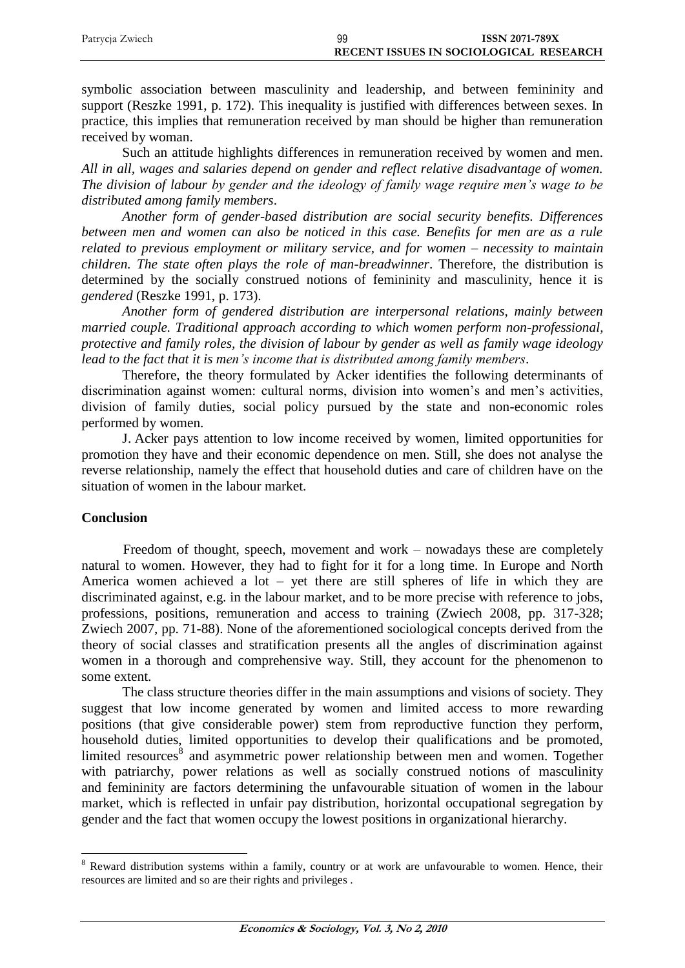| Patrycja Zwiech | 99 | <b>ISSN 2071-789X</b>                  |
|-----------------|----|----------------------------------------|
|                 |    | RECENT ISSUES IN SOCIOLOGICAL RESEARCH |

symbolic association between masculinity and leadership, and between femininity and support (Reszke 1991, p. 172). This inequality is justified with differences between sexes. In practice, this implies that remuneration received by man should be higher than remuneration received by woman.

Such an attitude highlights differences in remuneration received by women and men. *All in all, wages and salaries depend on gender and reflect relative disadvantage of women. The division of labour by gender and the ideology of family wage require men's wage to be distributed among family members*.

*Another form of gender-based distribution are social security benefits. Differences between men and women can also be noticed in this case. Benefits for men are as a rule related to previous employment or military service, and for women – necessity to maintain children. The state often plays the role of man-breadwinner*. Therefore, the distribution is determined by the socially construed notions of femininity and masculinity, hence it is *gendered* (Reszke 1991, p. 173).

*Another form of gendered distribution are interpersonal relations, mainly between married couple. Traditional approach according to which women perform non-professional, protective and family roles, the division of labour by gender as well as family wage ideology lead to the fact that it is men's income that is distributed among family members*.

Therefore, the theory formulated by Acker identifies the following determinants of discrimination against women: cultural norms, division into women's and men's activities, division of family duties, social policy pursued by the state and non-economic roles performed by women.

J. Acker pays attention to low income received by women, limited opportunities for promotion they have and their economic dependence on men. Still, she does not analyse the reverse relationship, namely the effect that household duties and care of children have on the situation of women in the labour market.

### **Conclusion**

 $\overline{a}$ 

Freedom of thought, speech, movement and work – nowadays these are completely natural to women. However, they had to fight for it for a long time. In Europe and North America women achieved a lot – yet there are still spheres of life in which they are discriminated against, e.g. in the labour market, and to be more precise with reference to jobs, professions, positions, remuneration and access to training (Zwiech 2008, pp. 317-328; Zwiech 2007, pp. 71-88). None of the aforementioned sociological concepts derived from the theory of social classes and stratification presents all the angles of discrimination against women in a thorough and comprehensive way. Still, they account for the phenomenon to some extent.

The class structure theories differ in the main assumptions and visions of society. They suggest that low income generated by women and limited access to more rewarding positions (that give considerable power) stem from reproductive function they perform, household duties, limited opportunities to develop their qualifications and be promoted, limited resources<sup>8</sup> and asymmetric power relationship between men and women. Together with patriarchy, power relations as well as socially construed notions of masculinity and femininity are factors determining the unfavourable situation of women in the labour market, which is reflected in unfair pay distribution, horizontal occupational segregation by gender and the fact that women occupy the lowest positions in organizational hierarchy.

<sup>&</sup>lt;sup>8</sup> Reward distribution systems within a family, country or at work are unfavourable to women. Hence, their resources are limited and so are their rights and privileges .